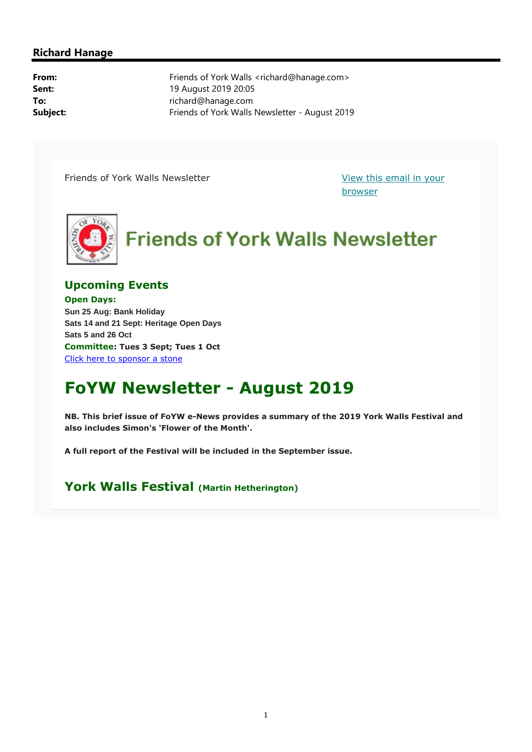#### **Richard Hanage**

**From:** Friends of York Walls <richard@hanage.com> **Sent:** 19 August 2019 20:05 **To:** richard@hanage.com **Subject:** Friends of York Walls Newsletter - August 2019

Friends of York Walls Newsletter View this email in your

browser



### **Upcoming Events**

**Open Days: Sun 25 Aug: Bank Holiday Sats 14 and 21 Sept: Heritage Open Days Sats 5 and 26 Oct Committee: Tues 3 Sept; Tues 1 Oct** Click here to sponsor a stone

# **FoYW Newsletter - August 2019**

**NB. This brief issue of FoYW e-News provides a summary of the 2019 York Walls Festival and also includes Simon's 'Flower of the Month'.** 

**A full report of the Festival will be included in the September issue.**

## **York Walls Festival (Martin Hetherington)**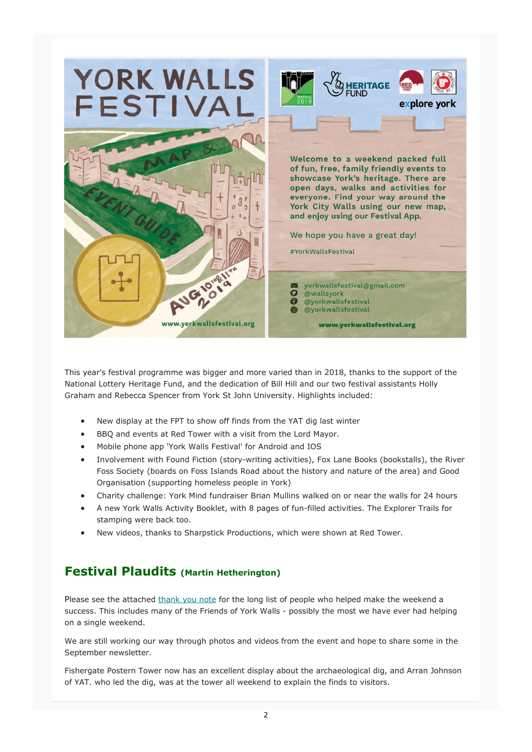

This year's festival programme was bigger and more varied than in 2018, thanks to the support of the National Lottery Heritage Fund, and the dedication of Bill Hill and our two festival assistants Holly Graham and Rebecca Spencer from York St John University. Highlights included:

- New display at the FPT to show off finds from the YAT dig last winter
- BBQ and events at Red Tower with a visit from the Lord Mayor.
- Mobile phone app 'York Walls Festival' for Android and IOS
- Involvement with Found Fiction (story-writing activities), Fox Lane Books (bookstalls), the River Foss Society (boards on Foss Islands Road about the history and nature of the area) and Good Organisation (supporting homeless people in York)
- Charity challenge: York Mind fundraiser Brian Mullins walked on or near the walls for 24 hours
- A new York Walls Activity Booklet, with 8 pages of fun-filled activities. The Explorer Trails for stamping were back too.
- New videos, thanks to Sharpstick Productions, which were shown at Red Tower.

# **Festival Plaudits (Martin Hetherington)**

Please see the attached thank you note for the long list of people who helped make the weekend a success. This includes many of the Friends of York Walls - possibly the most we have ever had helping on a single weekend.

We are still working our way through photos and videos from the event and hope to share some in the September newsletter.

Fishergate Postern Tower now has an excellent display about the archaeological dig, and Arran Johnson of YAT. who led the dig, was at the tower all weekend to explain the finds to visitors.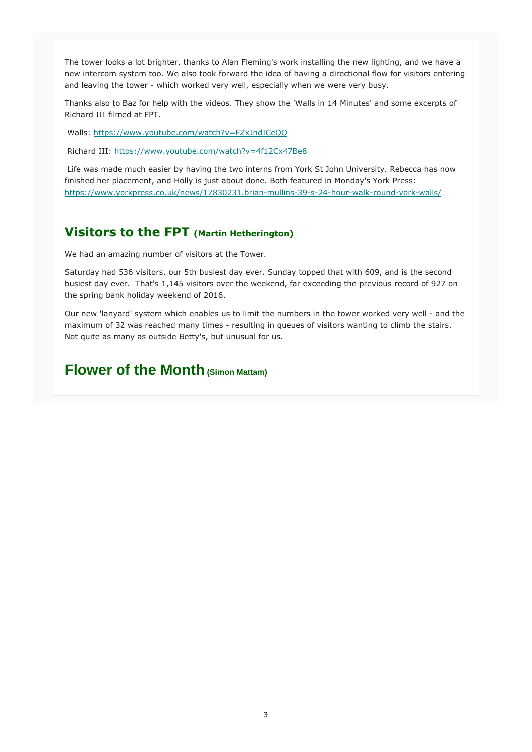The tower looks a lot brighter, thanks to Alan Fleming's work installing the new lighting, and we have a new intercom system too. We also took forward the idea of having a directional flow for visitors entering and leaving the tower - which worked very well, especially when we were very busy.

Thanks also to Baz for help with the videos. They show the 'Walls in 14 Minutes' and some excerpts of Richard III filmed at FPT.

Walls: https://www.youtube.com/watch?v=FZxJndICeQQ

Richard III: https://www.youtube.com/watch?v=4f12Cx47Be8

 Life was made much easier by having the two interns from York St John University. Rebecca has now finished her placement, and Holly is just about done. Both featured in Monday's York Press: https://www.yorkpress.co.uk/news/17830231.brian-mullins-39-s-24-hour-walk-round-york-walls/

### **Visitors to the FPT (Martin Hetherington)**

We had an amazing number of visitors at the Tower.

Saturday had 536 visitors, our 5th busiest day ever. Sunday topped that with 609, and is the second busiest day ever. That's 1,145 visitors over the weekend, far exceeding the previous record of 927 on the spring bank holiday weekend of 2016.

Our new 'lanyard' system which enables us to limit the numbers in the tower worked very well - and the maximum of 32 was reached many times - resulting in queues of visitors wanting to climb the stairs. Not quite as many as outside Betty's, but unusual for us.

# **Flower of the Month (Simon Mattam)**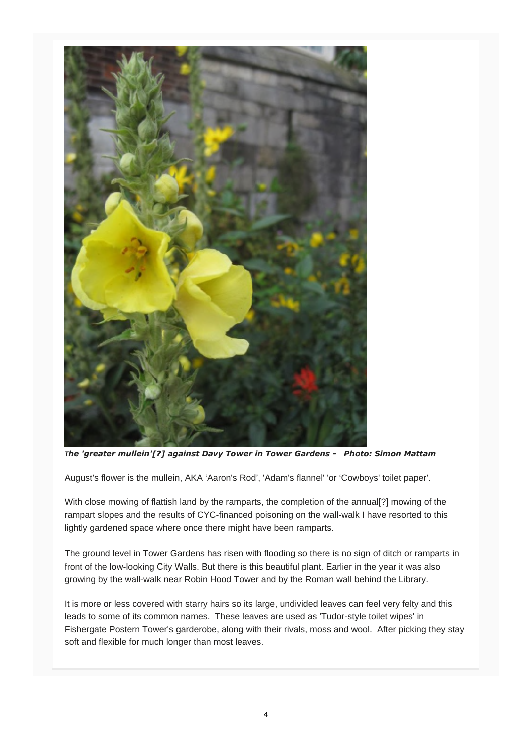

*The 'greater mullein'[?] against Davy Tower in Tower Gardens - Photo: Simon Mattam* 

August's flower is the mullein, AKA 'Aaron's Rod', 'Adam's flannel' 'or 'Cowboys' toilet paper'.

With close mowing of flattish land by the ramparts, the completion of the annual[?] mowing of the rampart slopes and the results of CYC-financed poisoning on the wall-walk I have resorted to this lightly gardened space where once there might have been ramparts.

The ground level in Tower Gardens has risen with flooding so there is no sign of ditch or ramparts in front of the low-looking City Walls. But there is this beautiful plant. Earlier in the year it was also growing by the wall-walk near Robin Hood Tower and by the Roman wall behind the Library.

It is more or less covered with starry hairs so its large, undivided leaves can feel very felty and this leads to some of its common names. These leaves are used as 'Tudor-style toilet wipes' in Fishergate Postern Tower's garderobe, along with their rivals, moss and wool. After picking they stay soft and flexible for much longer than most leaves.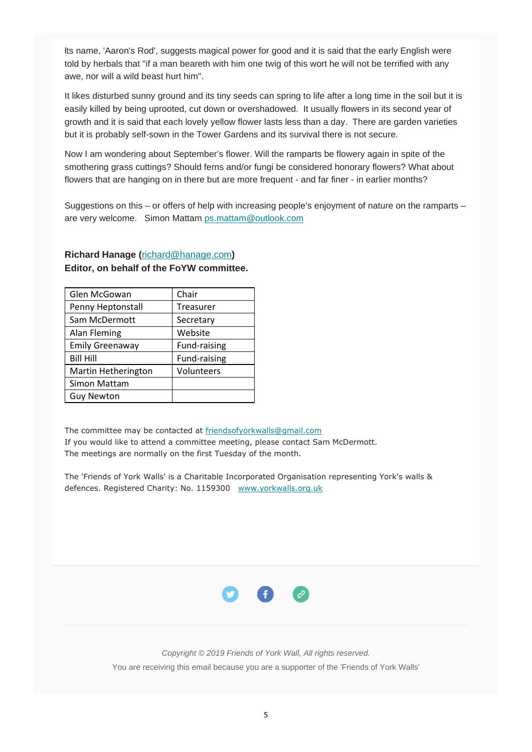lts name, 'Aaron's Rod', suggests magical power for good and it is said that the early English were told by herbals that "if a man beareth with him one twig of this wort he will not be terrified with any awe, nor will a wild beast hurt him".

It likes disturbed sunny ground and its tiny seeds can spring to life after a long time in the soil but it is easily killed by being uprooted, cut down or overshadowed. It usually flowers in its second year of growth and it is said that each lovely yellow flower lasts less than a day. There are garden varieties but it is probably self-sown in the Tower Gardens and its survival there is not secure.

Now I am wondering about September's flower. Will the ramparts be flowery again in spite of the smothering grass cuttings? Should ferns and/or fungi be considered honorary flowers? What about flowers that are hanging on in there but are more frequent - and far finer - in earlier months?

Suggestions on this – or offers of help with increasing people's enjoyment of nature on the ramparts – are very welcome. Simon Mattam ps.mattam@outlook.com

| Glen McGowan           | Chair            |
|------------------------|------------------|
| Penny Heptonstall      | <b>Treasurer</b> |
| Sam McDermott          | Secretary        |
| Alan Fleming           | Website          |
| <b>Emily Greenaway</b> | Fund-raising     |
| <b>Bill Hill</b>       | Fund-raising     |
| Martin Hetherington    | Volunteers       |
| Simon Mattam           |                  |
| Guy Newton             |                  |

#### **Richard Hanage (**richard@hanage.com**) Editor, on behalf of the FoYW committee.**

The committee may be contacted at friendsofyorkwalls@gmail.com If you would like to attend a committee meeting, please contact Sam McDermott. The meetings are normally on the first Tuesday of the month.

The 'Friends of York Walls' is a Charitable Incorporated Organisation representing York's walls & defences. Registered Charity: No. 1159300 www.yorkwalls.org.uk



*Copyright © 2019 Friends of York Wall, All rights reserved.* You are receiving this email because you are a supporter of the 'Friends of York Walls'